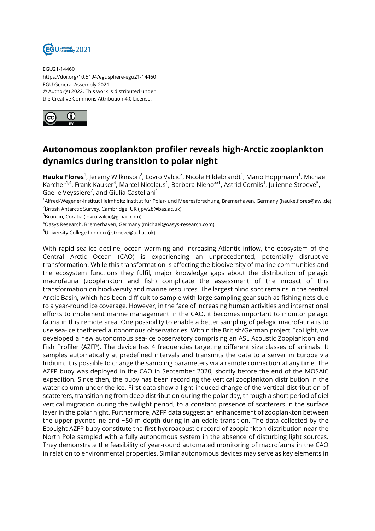

EGU21-14460 https://doi.org/10.5194/egusphere-egu21-14460 EGU General Assembly 2021 © Author(s) 2022. This work is distributed under the Creative Commons Attribution 4.0 License.



## **Autonomous zooplankton profiler reveals high-Arctic zooplankton dynamics during transition to polar night**

**Hauke Flores**<sup>1</sup>, Jeremy Wilkinson<sup>2</sup>, Lovro Valcic<sup>3</sup>, Nicole Hildebrandt<sup>1</sup>, Mario Hoppmann<sup>1</sup>, Michael Karcher<sup>1,4</sup>, Frank Kauker<sup>4</sup>, Marcel Nicolaus<sup>1</sup>, Barbara Niehoff<sup>1</sup>, Astrid Cornils<sup>1</sup>, Julienne Stroeve<sup>5</sup>, Gaelle Veyssiere $^2$ , and Giulia Castellani $^1$ 

<sup>1</sup>Alfred-Wegener-Institut Helmholtz Institut für Polar- und Meeresforschung, Bremerhaven, Germany (hauke.flores@awi.de) <sup>2</sup>British Antarctic Survey, Cambridge, UK (jpw28@bas.ac.uk)

<sup>3</sup>Bruncin, Coratia (lovro.valcic@gmail.com)

<sup>4</sup>Oasys Research, Bremerhaven, Germany (michael@oasys-research.com)

<sup>5</sup>University College London (j.stroeve@ucl.ac.uk)

With rapid sea-ice decline, ocean warming and increasing Atlantic inflow, the ecosystem of the Central Arctic Ocean (CAO) is experiencing an unprecedented, potentially disruptive transformation. While this transformation is affecting the biodiversity of marine communities and the ecosystem functions they fulfil, major knowledge gaps about the distribution of pelagic macrofauna (zooplankton and fish) complicate the assessment of the impact of this transformation on biodiversity and marine resources. The largest blind spot remains in the central Arctic Basin, which has been difficult to sample with large sampling gear such as fishing nets due to a year-round ice coverage. However, in the face of increasing human activities and international efforts to implement marine management in the CAO, it becomes important to monitor pelagic fauna in this remote area. One possibility to enable a better sampling of pelagic macrofauna is to use sea-ice thethered autonomous observatories. Within the British/German project EcoLight, we developed a new autonomous sea-ice observatory comprising an ASL Acoustic Zooplankton and Fish Profiler (AZFP). The device has 4 frequencies targeting different size classes of animals. It samples automatically at predefined intervals and transmits the data to a server in Europe via Iridium. It is possible to change the sampling parameters via a remote connection at any time. The AZFP buoy was deployed in the CAO in September 2020, shortly before the end of the MOSAiC expedition. Since then, the buoy has been recording the vertical zooplankton distribution in the water column under the ice. First data show a light-induced change of the vertical distribution of scatterers, transitioning from deep distribution during the polar day, through a short period of diel vertical migration during the twilight period, to a constant presence of scatterers in the surface layer in the polar night. Furthermore, AZFP data suggest an enhancement of zooplankton between the upper pycnocline and ~50 m depth during in an eddie transition. The data collected by the EcoLight AZFP buoy constitute the first hydroacoustic record of zooplankton distribution near the North Pole sampled with a fully autonomous system in the absence of disturbing light sources. They demonstrate the feasibility of year-round automated monitoring of macrofauna in the CAO in relation to environmental properties. Similar autonomous devices may serve as key elements in